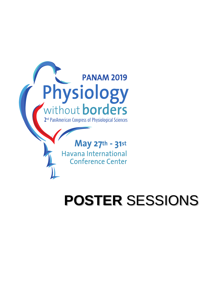

May 27th - 31st Havana International **Conference Center** 

# **POSTER** SESSIONS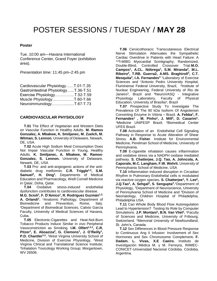#### **Poster**

Tue. 10:00 am—Havana International Conference Center, Grand Foyer (exhibition area).

*Presentation time:* 11:45 pm–2:45 pm

| Cardiovascular PhysiologyT.01-T.35   |  |
|--------------------------------------|--|
| Gastrointestinal PhysiologyT.36-T.51 |  |
| Exercise PhysiologyT.52-T.59         |  |
| Muscle PhysiologyT.60-T.66           |  |
| NeuroimmunologyT.67-T.73             |  |

#### **CARDIOVASCULAR PHYSIOLOGY**

 **T.01** The Effect of Vegetarian and Western Diets on Vascular Function in Healthy Adults. **M. Ramos Gonzalez, A. Mbakwe, K. Smiljanec, M. Zuelch, M. Witman, S. Lennon.** University of Delaware, Newark, DE, USA.

 **T.02** Acute High Sodium Meal Consumption Does Not Impair Vascular Function in Young, Healthy Adults. **K. Smiljanec, A. Mbakwe, M. Ramos-Gonzalez, S. Lennon.** University of Delaware, Newark, DE, USA

 **T.03** Pro- and anti-angiogenic actions of the antidiabetic drug metformin. **C.R. Triggle1,2 , S.M. Samuel<sup>2</sup> , H. Ding<sup>1</sup> .** Departments of Medical Education and Pharmacology, Weill Cornell Medicine in Qatar, Doha, Qatar.

 **T.04** Oxidative stress-induced endothelial dysfunction contributes to cardiovascular disease.

**M.G. Scioli<sup>1</sup> , F. D'Amico<sup>1</sup> , R. Rodríguez Guzmán1,2, A. Orlandi<sup>1</sup> .** <sup>1</sup>Anatomic Pathology, Department of Biomedicine and Prevention, Rome, Italy. <sup>2</sup>Department of Biomedical Sciences, Calixto Garcia Faculty, University of Medical Sciences of Havana, Cuba.

 **T.05** Electronic-Cigarettes and Heat-Not-Burn Tobacco Products Induce Similar in vivo Peripheral Vasoconstriction as Smoking. **I.M. Olfert1,2,3, C.R.** Pitzer<sup>1</sup>, E. Aboaziza<sup>2</sup>, G. Clemons<sup>1</sup>, J. O'Reilly<sup>1</sup>, **P.D. Chantler<sup>1,2</sup>.** <sup>1</sup>West Virginia University School of Medicine, Division of Exercise Physiology, <sup>2</sup>West Virginia Clinical and Translational Science Institute; 3 Inhalation Toxicology Working Group; Morgantown, WV 26506.

 **T.06** Cervicothoracic Transcutaneous Electrical Nerve Stimulation Attenuates the Sympathetic Cardiac Overdrive in Patients with Heart Failure: A <sup>123</sup>l-MIBG Myocardial Scintigraphy, Randomized, Double-Blind, Controlled Crossover Trial.**M.O. Campos<sup>1</sup> , A.CL. Nóbrega<sup>1</sup> , S.M. Miranda<sup>2</sup> , M.L. Ribeiro<sup>2</sup> , T.RB. Guerra2, A.MS. Braghiroll<sup>3</sup> , C.T. Mesquita<sup>2</sup> , I.A. Fernandes<sup>4</sup>** <sup>1</sup>Laboratory of Exercise Sciences and <sup>2</sup>Antonio Pedro University Hospital, Fluminense Federal University, Brazil, <sup>3</sup>Institute of Nuclear Engineering, Federal University of Rio de Janeiro<sup>3</sup>, Brazil and <sup>4</sup>NeuroVASQ - Integrative Physiology Laboratory, Faculty of Physical Education, University of Brasília<sup>4</sup>, Brazil

 **T.07** Prospective Study To Investigate The Prevalence Of The 90 kDa Isoform Of Angiotensin Converting Enzyme In Vitória – Brazil. **A. Febba<sup>1</sup> , F. Fernandes<sup>1</sup> , M. Pinho<sup>1</sup> , J. Mill<sup>2</sup> , D. Casarini<sup>1</sup> .** <sup>1</sup>Medicine UNIFESP Brazil; <sup>2</sup>Biomedical Center UFES Brazil.

 **T.08** Activation of an Endothelial Cell Signaling Pathway in Response to Acute Alteration of Shear Stress. **A.B. Fisher**. Institute for Environmental Medicine, Perelman School of Medicine, University of Pennsylvania.

 **T.09** E-cigarette inhalation causes inflammation and oxidative stress via a NADPH oxidase mediated pathway. **S. Chatterjee, J.Q. Tao, A. Johncola, A. Caporale, M.C. Langham, F.W. Wehrli.** University of Pennsylvania School of Medicine, USA

 **T.10** Inflammation induced disruption in Circadian Rhythm in Pulmonary Endothelial cells is modulated via reactive oxygen species**. S. Chatterjee<sup>1</sup> , Y. Lee<sup>2</sup> , J.Q.Tao<sup>1</sup> , A. Sehgal<sup>2</sup> , S. Sengupta<sup>3</sup> .** <sup>1</sup>Department of Physiology, <sup>2</sup>Department of Neuroscience, University of Pennsylvania School of Medicine and <sup>3</sup>Division of Neonatology, Children Hospital of Philadelphia, Philadelphia USA.

 **T.11** Can Whole Body Blood Flow Autoregulation Lead to Hypertension? Testing Its Role by Computer Simulations. J.P. Montani<sup>1</sup>, B.N. Van Vliet<sup>2</sup>. <sup>1</sup> Faculty of Sciences and Medicine, University of Fribourg, Switzerland. <sup>2</sup>Memorial University of Newfoundland, St. John's, Canada.

 **T.12** Sex Differences in Blood Pressure Response to Continuous Ang II Infusion: Involvement of Sex Hormones and Sex Chromosome Complement**. F. Dadam. L. Vivas, X.E Caeiro.** Instituto de Investigación Médica M. y M. Ferreyra, INIMEC-CONICET-Universidad Nacional Córdoba. Córdoba, Argentina.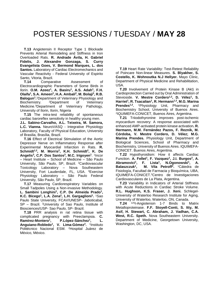**T.13** Angiotensin II Receptor Type 1 Blockade Prevents Arterial Remodeling and Stiffness in Iron Overloaded Rats. **R. Andrade Ávila, H. Gabriel Fidelis, J. Alexandre Gonzaga, S. Curry Evangelista Goes, V. Bermond Marques, L. dos Santos.** Laboratory of Cardiac Electromechanics and Vascular Reactivity - Federal University of Espirito Santo, Vitoria, Brazil.

 **T.14** Comparative Assessment of Electrocardiographic Parameters of Some Birds in Ilorin. **O.M. Azeez<sup>1</sup> , A. Basiru<sup>1</sup> , A.S. Adah<sup>1</sup> , F.H. Olaifa<sup>1</sup> , S.A. Ameen<sup>2</sup> , H.A. Ambali<sup>2</sup> , M. Bolaji<sup>3</sup> , R.B. Balogun<sup>1</sup> .** <sup>1</sup>Department of Veterinary Physiology and Biochemistry. <sup>2</sup>Department of Veterinary Medicine. <sup>3</sup>Department of Veterinary Pathology, University of Ilorin, Ilorin, Nigeria

 **T.15** The intra-test reliability of spontaneous cardiac baroreflex sensitivity in healthy young men.

**J.L. Sabino-Carvalho, A.L. Teixeira, M. Samora, L.C. Vianna.** NeuroVASQ - Integrative Physiology Laboratory, Faculty of Physical Education, University of Brasilia, Brasília, Brazil.

 **T.16** Effect of Electrical Stimulation of the Aortic Depressor Nerve on Inflammatory Response after Experimental Myocardial Infarction in Rats. **R. Schmidt1,2, M. Morris<sup>2</sup> , K.H. Schmidt<sup>2</sup> , K. De Angelis<sup>3</sup> , C.P. Dos Santos<sup>3</sup> , M.C. Irigoyen<sup>1</sup>** . 1 Incor – Heart Institute – School of Medicine – São Paulo University, São Paulo, SP, Brazil. <sup>2</sup>Cardiovascular Toxicology Laboratory – Nova Southeastern University, Fort Lauderdale, FL, USA. <sup>3</sup>Exercise Physiology Laboratory – São Paulo Federal University, São Paulo, SP, Brazil.

 **T.17** Measuring Cardiorespiratory Variables on Small Tadpoles Using a Non-invasive Methodology. **L. Sambini Longhini<sup>1</sup> , C.P. De Almeida Prado<sup>1</sup> , K.C. Bícego<sup>1</sup> , L.A. Zena<sup>2</sup> , L.H. Gargaglioni<sup>1</sup> .** <sup>1</sup>Sao Paulo State University, FCAV/UNESP- Jaboticabal, SP – Brazil. <sup>2</sup>University of Sao Paulo, Institute of Biosciences/USP- Sao Paulo, SP- Brazil.

 **T.18** PRR analysis in rat retina tissue with complicated pregnancy with Preeclampsia. **C. Ramírez-Montero<sup>1</sup> , P.López-Sánchez<sup>1</sup> , L. Anguiano-Robledo<sup>1</sup> , V. Lima-Gómez<sup>2</sup> .** 1 Instituto Politécnico Nacional ESM. <sup>2</sup>Hospital Juárez de México, México.

 **T.19** Heart Rate Variability: Test-Retest Reliability of Poincare Non-linear Measures. **S. Blyakher, S. Costello, K. Wohnoutka N.J Hellyer.** Mayo Clinic, Department of Physical Medicine and Rehabilitation, USA.

 **T.20** Involvement of Protein Kinase B (Akt) in Cardioprotection Carried out by Oral Administration of Stevioside. **V. Mestre Cordero1,2, D. Vélez<sup>1</sup> , S. Harriet<sup>1</sup> , R. Tsacalian<sup>1</sup> , R. Hermann1,2, M.G. Marina Prendes1,2 .** <sup>1</sup>Physiology Unit, Pharmacy and Biochemistry School, University of Buenos Aires. 2 IQUIMEFA-CONICET, Buenos Aires, Argentina.

 **T.21** Triiodothyronine improves post-ischemic myocardium recovery: A response associated with enhanced AMP-activated protein kinase activation**. R. Hermann, M.M. Fernández Pazos, F. Reznik, M. Córdoba, V. Mestre Cordero, D. Vélez; M.G. Marina Prendes.** Physiology Unit, Department of Biological Sciences, School of Pharmacy and Biochemistry, University of Buenos Aires. IQUIMEFA-CONICET. Buenos Aires, Argentina.

 **T.22** Hypothyroidism: How it affects Cardiac Function. **A. Fellet<sup>1</sup> , F. Vazquez<sup>1</sup> , J.I. Burgos<sup>2</sup> , A. Abramovici<sup>1</sup> , F. Lista<sup>1</sup> , N.Ogonowski<sup>1</sup> , A. Balaszczuk<sup>1</sup> , M. Vila Petroff<sup>2</sup> .** <sup>1</sup>Cátedra de Fisiología, Facultad de Farmacia y Bioquímica, UBA, IQUIMEFA-CONICET.<sup>2</sup>Centro de Investigaciones Cardiovasculares de La Plata, Argentina.

 **T.23** Variability in Indicators of Arterial Stiffness with Acute Reductions in Cardiac Stroke Volume. **R.L. Hughson, K.S. Fraser, J. Xeni.** Schlegel-University of Waterloo Research Institute for Aging, University of Waterloo, Waterloo, ON, Canada.

 **T.24** <sup>125</sup>I-Angiotensin 1-7 Binds to Matrix Metalloproteinase. **F.F. Stoyell-Conti, S. Itty, M. Asif, H. Stewart, C. Abraham, J. Vadhan, C.A. West, R.C. Speth.** Nova Southeastern University. Department of Medicine, Georgetown University, Washington, DC, USA.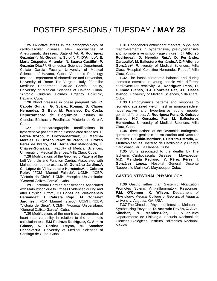**T.25** Oxidative stress in the pathophysiology of cardiovascular disease. New approaches of Aneurysmatic diseases. State of Art. **R. Rodríguez Guzmán1,2, M. Giovanna Scioli<sup>2</sup> , F. D'Amico<sup>2</sup> , E. María Céspedes Miranda<sup>1</sup> , N. Suárez Castillo<sup>1</sup> , P. Guzmán Díaz3,4 .** <sup>1</sup>Biomedical Sciences Department, Calixto García Faculty, University of Medical Sciences of Havana, Cuba. <sup>2</sup>Anatomic Pathology Institute. Department of Biomedicine and Prevention, University of Rome Tor Vergata, Italy. <sup>3</sup>Familiar Medicine Department, Calixto García Faculty, University of Medical Sciences of Havana, Cuba. <sup>4</sup>Antonio Guiteras Holmes Urgency Policlinic, Havana, Cuba.

 **T.26** Blood pressure in obese pregnant rats. **C. Capote Guitian, G. Suárez Román, S. Clapés Hernández, G. Belo, M. Fransisco Da Costa.** Departamento de Bioquímica. Instituto de Ciencias Básicas y Preclínicas "Victoria de Girón", Cuba.

 **T.27** Electrocardiographic modifications in hypertensive patients without associated diseases. **L. Ferrer-Orozco, Y. Orozco-Martínez, J.I. Medina-Morales, B. Orozco Pérez de Prado, C. Orozco Pérez de Prado, R.M. Hernández Maldonado, E. Chávez-González.** Faculty of Medical Sciences, University of Medical Sciences, Villa Clara, Cuba.

 **T.28** Modifications of the Geometric Pattern of the Left Ventricle and Function Cardiac Associated with Malnutrition due to excess. **M. González Jardinez<sup>1</sup> , C.I López de Villavicencio Hernández<sup>2</sup> , I. Cabrera Rojo<sup>3</sup> .** <sup>1</sup>FCM "Manuel Fajardo". UCMH. <sup>2</sup> ICBP: "Victoria de Girón". UCMH. <sup>3</sup>Hospital Universitario: "General Calixto García", Cuba.

 **T.29** Functional Cardiac Modifications Associated with Malnutrition due to Excess Evidenced during and after Physical Effort.**, C.I López de Villavicencio Hernández<sup>2</sup> , I. Cabrera Rojo<sup>3</sup> , M. González Jardinez<sup>1</sup>.** 1FCM "Manuel Fajardo". UCMH. 2ICBP: "Victoria de Girón". UCMH. <sup>3</sup>Hospital Universitario: "General Calixto García", Cuba.

 **T.30** Modifications of the non-linear parameters of heart rate variability in relation to the arithmetic calculation test. **E.M Pedraza Rodríguez, C. Almira Gómez, S. Cortina Reyna, M. Sanchez Hechavarria.** University of Medical Sciences of Santiago de Cuba, Cuba.

 **T.31** Endogenous antioxidant markers, oligo- and macro-elements in hypertensive, pre-hypertensive and normotensive school - age children. **J.I Alfonso Rodríguez<sup>1</sup> , D. Heredia Ruiz<sup>1</sup> , D. Fernández Caraballo<sup>1</sup> , M. Ballestero Hernández<sup>1</sup> , C.P Alfonso González<sup>2</sup> .** <sup>1</sup>University of Medical Sciences, Villa Clara. <sup>2</sup>Hospital "Celestino Hernández Robau", Villa Clara, Cuba.

 **T.32** The basal autonomic balance and during isometric exercise in young people with different cardiovascular reactivity. **A. Rodríguez Pena, O. Guirado Blanco, H.J. González Paz, J.C. Casas Blanco.** University of Medical Sciences, Villa Clara, Cuba.

 **T.33** Hemodynamics patterns and response to isometric sustained weight test in normorreactive, hyperreactive and hypertensive young people: gender differences. **A. Rodríguez Pena, O. Guirado Blanco, H.J. González Paz, M. Ballesteros Hernández.** University of Medical Sciences, Villa Clara, Cuba.

 **T.34** Direct actions of the flavonoids naringenin, quercetin and genistein on rat cardiac and vascular muscles. **L. Galán-Martínez, I. Herrera-Estrada, A. Fleites-Vázquez.** Instituto de Cardiología y Cirugía Cardiovascular, La Habana, Cuba.

 **T.35** Signs associated to the deaths by The Ischemic Cardiovascular Disease in Mayabeque. **M.D. Mendieta Pedroso, Y. Pérez Pérez, I. González López.** Hospital General Docente "Leopoldito Martínez", Mayabeque, Cuba.

#### **GASTROINTESTINAL PHYSIOLOGY**

 **T.36** Gastric rather than Systemic Alkalization Promotes Splenic Anti-inflammatory Responses. **P.M. O'Connor, K. Wilson.** Department of Physiology, Medical College of Georgia at Augusta University, Augusta, GA, USA.

 **T.37** The Circadian Rhythm of Intestinal Melatonin-Synthesizing Enzymes. **D. Andrade-Pavón, C. Alva-Sánchez, N. Méndez-Díaz, I. Villanueva** Departamento de Fisiología, Escuela Nacional de Ciencias Biológicas, Instituto Politécnico Nacional, México.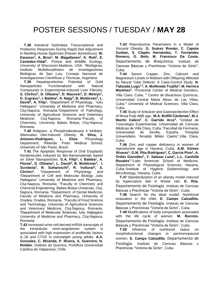**T.38** Intestinal Hydrolase Transcriptional and Proteomic Responses During Rapid Diet Adjustment in Nestling House Sparrows (Passer domesticus). **W. Karasov<sup>1</sup> , A. Brun<sup>1</sup> , M. Magallanes<sup>2</sup> , K. Rott<sup>1</sup> , E. Caviedes-Vidal<sup>2</sup> .** <sup>1</sup>Forest and Wildlife Ecology, University of Wisconsin-Madison, USA. <sup>2</sup>Biológicas, Instituto Multidisciplinario de Investigaciones Biológicas de San Luis, Consejo Nacional de Investigaciones Científicas y Técnicas, Argentina.

 **T.39** Hepatoprotective Potential of Gold Nanoparticles Functionalized with Natural Compounds in Experimental-Induced Liver Fibrosis. **S. Clichici<sup>1</sup> , D. Olteanu<sup>1</sup> , D. Macovei<sup>1</sup> , D. Melvyn<sup>1</sup> , D. Zugravu<sup>1</sup> , I. Baldea<sup>1</sup> , A. Nagy<sup>2</sup> , B. Moldovan<sup>3</sup> , L. David<sup>3</sup> , A. Filip<sup>1</sup> .** <sup>1</sup>Department of Physiology, ''Iuliu Hatieganu'' University of Medicine and Pharmacy, Cluj-Napoca, Romania.<sup>2</sup>Department of Pathology, University of Agricultural Sciences and Veterinary Medicine, Cluj-Napoca, Romania.<sup>3</sup>Faculty of Chemistry, University Babes Bolyai, Cluj-Napoca, Romania.

 **T.40** Rolipram, a Phosphodiesterase 4 Inhibitor, Attenuates Diet-Induced Obesity. **H. Silva, J. Antunes-Rodrigues, L. Elias.** <sup>1</sup>Physiology Department, Ribeirão Preto Medical School, University of São Paulo, Brazil.

 **T.41** The Apoptotic Response of Oral Dysplastic Keratinocytes Induced by Bio-Nanomaterials based on Silver Nanoparticles. **G.A. Filip<sup>1</sup> , I. Baldea<sup>1</sup> , A. Florea<sup>2</sup> , D. Olteanu<sup>1</sup> , L. David<sup>3</sup> , B. Moldovan<sup>3</sup> , I. Scrobota<sup>4</sup> , R. Suharoschi<sup>5</sup> , R. Vulturar<sup>6</sup> , S. Clichici<sup>1</sup> .** <sup>1</sup>Department of Physiology and <sup>2</sup>Department of Cell and Molecular Biology "Iuliu Hatieganu" University of Medicine and Pharmacy, Cluj-Napoca, Romania. <sup>3</sup>Faculty of Chemistry and Chemical Engineering, Babes-Bolyai University, Cluj-Napoca, Romania. <sup>4</sup>Department. of Dental Medicine, Faculty of Medicine and Pharmacy, University of Oradea, Oradea, Romania. <sup>5</sup>Faculty of Food Science and Technology, University of Agricultural Sciences and Veterinary Medicine, Cluj-Napoca, Romania. <sup>6</sup>Department of Molecular Sciences, Iuliu Haţieganu University of Medicine and Pharmacy, Cluj-Napoca, Romania.

**T.42** Increased urine-cell derived mRNA transcripts of the intratubular renin-angiotensin system is associated with high expression of profibrotic factors IL-18 and CTGF in overweight young adults. **A.A. Gonzalez, C. Miranda, P. Rivera, A. Guerrero, N. Roldán.** Instituto de Química, Pontificia Universidad Católica de Valparaíso, Chile.

 **T.43** Reproductive Parameters in a Model of Visceral Obesity. **G. Suárez Román, C. Capote Guitian, S. Clapés Hernández, T. Fernández Romero, G. Belo, M. Fransisco Da Costa.** Departamento de Bioquímica. Instituto de Ciencias Básicas y Preclínicas "Victoria de Girón", Cuba.

 **T.44** Serum Copper, Zinc, Calcium and Magnesium Levels in Mothers with Offspring Affected by Neural Tube Defects: A Case-Control Study. **N. Taboada Lugo1,3, A. Mollineda Trujillo<sup>2</sup> , M. Herrera Martínez<sup>3</sup> .** <sup>1</sup>Provincial Center of Medical Genetics, Villa Clara, Cuba. <sup>2</sup> Centro de Bioactivos Químicos, Universidad Central Marta Abreu de Las Villas, Cuba.<sup>3</sup> University of Medical Sciences, Villa Clara, Cuba.

 **T.45** Study of Antiulcer and Gastroprotective Effect of Musa Pulp ABB spp**. M.A. Boffill Cárdenas<sup>1</sup> , M.J. Martín Calero<sup>2</sup> . C. Garrido Arce<sup>3</sup> .** <sup>1</sup>Unidad de Toxicología Experimental, Universidad de Ciencias Médicas de Villa Clara, Cuba. <sup>2</sup>Facultad de Farmacia, Universidad de Sevilla, España. <sup>3</sup>Hospital Universitario "Arnaldo Milián Castro",Villa Clara, Cuba.

 **T.46** Zinc and copper deficiency in women of reproductive age in Havana, Cuba. **A.M. Gómez Álvarez<sup>1</sup> , G.M. Pita Rodríguez<sup>2</sup> , C. García Pino<sup>2</sup> , A. Ordás González<sup>1</sup> , Y. Salazar Luna<sup>1</sup> , L.L. Cardellá Rosales<sup>1</sup>** . <sup>1</sup>Latin American School of Medicine, Department of Physiological Sciences, Havana, Cuba. 2 Institute of Hygiene Epidemiology and Microbiology, Havana, Cuba.

 **T.47** Standardization of an obesity model induced by hypercaloric diet in Wistar rats. **E. Rita**. Departamento de Fisiología. Instituto de Ciencias Básicas y Preclínicas "Victoria de Girón", Cuba.

 **T.48** Search for the ideal model: Nutritional evaluation in the child. **E. Camps Calzadilla.** Departamento de Fisiología. Instituto de Ciencias Básicas y Preclínicas "Victoria de Girón", Cuba.

 **T.49** Modifications of body composition associated with the life cycle of women. **M. Borroto.**  Departamento de Fisiología. Instituto de Ciencias Básicas y Preclínicas "Victoria de Girón", Cuba.

 **T.50** Influence of nutritional status on morphofunctional changes in perimenopausal women. **E. Camps Calzadilla**. Departamento de Fisiología. Instituto de Ciencias Básicas y Preclínicas "Victoria de Girón", Cuba.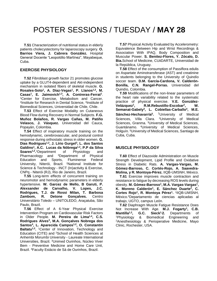**T.51** Characterization of nutritional status in elderly patients cholecystectomy for laparoscopy surgery. **O. Barrios Viera, J. Cabrera González.** Hospital General Docente "Leopoldito Martínez", Mayabeque, Cuba.

#### **EXERCISE PHYSIOLOGY**

 **T.52** Fibroblast growth factor 21 promotes glucose uptake by a GLUT4-dependent and Akt-independent mechanism in isolated fibers of skeletal muscle. **G. Rosales-Soto<sup>1</sup> , A. Díaz-Vegas<sup>1</sup> , P. Llanos1,2, M. Casas<sup>1</sup> , E. Jaimovich1,3, A. Contreras-Ferrat<sup>1</sup>** . <sup>1</sup>Center for Exercise, Metabolism and Cancer, <sup>2</sup>Institute for Research in Dental Science, <sup>3</sup>Institute of Biomedical Sciences, Universidad de Chile, Chile.

 **T.53** Effect of Exercise Modality on Cutaneous Blood Flow during Recovery in Normal Subjects. **F.G. Muñoz Bolaños, R. Vargas Cañas, M. Patiño Velasco, J. Vásquez.** Universidad del Cauca, Popayán, Colombia.

 **T.54** Effect of inspiratory muscle training on the hemodynamic, cerebrovascular, and postural control response during orthostatic stress in older women. **G. Dias Rodrigues1,2, J. Lírio Gurgel<sup>3</sup> , L. dos Santos Galdino<sup>1</sup> , A.C. Lucas da Nóbrega1,2, P.P da Silva Soares1,2 .** <sup>1</sup>Department of Physiology and Pharmacology and <sup>3</sup>Department of Physical Education and Sports, Fluminense Federal University, Niterói, Brazil. <sup>2</sup>National Institute for Science & Technology - INCT (In)activity & Exercise, CNPq - Niterói (RJ), Rio de Janeiro, Brazil.

 **T.55** Long-term effects of concurrent training on neuromotor and hemodynamic parameters in elderly hypertensive. **W. Garcez de Mello, B Garuti, P. Alexsander de Carvalho, V. Lopes, J.C. Rodrigues, T.J. de Rossi Milan, T. Barbosa Zambom, R. Detone Gonçalves.** Centro Universitário Toledo – UNITOLEDO, Araçatuba, São Paulo, Brazil.

 **T.56** Effect of A 6-Year Physical Exercise Intervention Program on Cardiovascular Risk Factors in Older People. **M. Pereira de Lima1,4, C.S. Rodrigues Alves<sup>3</sup> , M.A. Gonçalves Nobrega dos Santos<sup>4</sup> , L. Aparecida Campos1,2, O. Constantin Baltatu1,2 .** <sup>1</sup>Center of Innovation, Technology and Education (CITE) and <sup>2</sup>School of Health Sciences at Anhembi Morumbi University - Laureate International Universities, Brazil. <sup>3</sup>Unimed Ourinhos, Núcleo Viver Bem - Preventive Medicine and Home Care Unit, Brazil. <sup>4</sup>Faculty Estácio de Sá de Ourinhos, Brazil.

 **T.57** Physical Activity Evaluated by Accelerometry: Equivalence Between Hip and Wrist Recordings & Association With IPAQ, Body Composition and Muscular Power. **S. Benitez-Flores, Y. Zócalo, D. Bia.**School of Medicine, CUiiDARTE, Universidad de la República, Uruguay.

 **T.58** Effect of the consumption of Passiflora edulis on Aspartate Aminotransferase (AST) and creatinine in students belonging to the University of Quindío soccer team. **D.M. García-Cardona, V. Calderón-Bonilla, C.N. Rangel-Porras.** Universidad del Quindío, Colombia.

 **T.59** Modifications of the non-linear parameters of the heart rate variability related to the systematic practice of physical exercise. **V.E. González-Velázquez<sup>1</sup> , R.M.Rebustillo-Escobar<sup>2</sup> , W. Semanat-Gabely<sup>3</sup> , L. Cobiellas-Carballo<sup>4</sup> , M.E. Sánchez-Hechavarría<sup>5</sup> .** <sup>1</sup>University of Medical Sciences, Villa Clara. <sup>2</sup>University of Medical Sciences, Granma. <sup>3</sup>University of Medical Sciences, Guantánamo. <sup>4</sup>University of Medical Sciences, Holguín. <sup>5</sup>University of Medical Sciences, Santiago de Cuba, Cuba.

#### **MUSCLE PHYSIOLOGY**

 **T.60** Effect of Diazoxide Administration on Muscle Strength Development, Lipid Profile and Oxidative Stress in Diabetic Rats. **A. Vargas-Vargas, M. Gómez-Barroso, C. Cortés-Rojo, A. Saavedra-Molina, y R. Montoya-Pérez.** IIQB-UMSNH, México.

 **T.61** Exercise improves muscle contraction and resistance to fatigue by decreasing ROS levels during obesity. **M. Gómez-Barroso<sup>1</sup> , M.A. Vargas-Vargas<sup>1</sup> , K. Moreno Calderón<sup>1</sup> , E. Sánchez Duarte<sup>2</sup> , C. Cortes Rojo<sup>1</sup> , R. Montoya Pérez<sup>1</sup> .**  1 IIQB-UMSNH, México.<sup>2</sup>Departamento de ciencias aplicadas al trabajo, UGTO, campus León.

 **T.62** Diaphragm Muscle Fatigue Resistance Does Not Increase With Age. **M.J. Fogarty<sup>1</sup> , C.B. Mantilla1,2 , G.C. Sieck1,2.** Departments of <sup>1</sup>Physiology & Biomedical Engineering and <sup>2</sup>Anesthesiology & Perioperative Medicine, Mayo Clinic, Rochester, USA.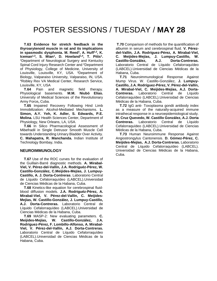**T.63 Evidence for stretch feedback in the thyroarytenoid muscle in rat and its implications in spasmodic dysphonia. M. Reed<sup>1</sup> , A. Huff1,2, K. Iceman1,3, S. Mian<sup>1</sup> , D. Howland1,4, T. Pitts<sup>1</sup> .** <sup>1</sup>Department of Neurological Surgery and Kentucky Spinal Cord Injury Research Center and <sup>2</sup>Department of Physiology, College of Medicine, University of Louisville, Louisville, KY, USA. <sup>3</sup>Department of Biology, Valparaiso University, Valparaiso, IN, USA. <sup>4</sup>Robley Rex VA Medical Center, Research Service, Louisville, KY, USA

 **T.64** Pain and magnetic field therapy. Physiological basements. **M.M. Niubó Elías.**  University of Medical Sciences of the Revolutionary Army Force**,** Cuba.

 **T.65** Impaired Recovery Following Hind Limb Immobilization: Alcohol-Mediated Mechanisms. **L. Simon, A.Y. Yeh, K. Adler, S. Edwards, P.E. Molina.** LSU Health Sciences Center, Department of Physiology, New Orleans, LA, USA.

 **T.66** In Silico Pharmacological Assessment of Mibefradil in Single Detrusor Smooth Muscle Cell towards Understanding Urinary Bladder Over Activity. **C. Mahapatra, R. Manchanda.** Indian Institute of Technology Bombay, India.

#### **NEUROIMMUNOLOGY**

 **T.67** Use of the ROC curves for the evaluation of the Guillain-Barré diagnostic methods. **A. Mirabal-Viel, V. Pérez-del-Vallín, J.A. Rodriguéz-Pérez, W. Castillo-González, C.Meijides-Mejías, J. Lumpuy-Castillo, A. J. Dorta-Contreras**. Laboratorio Central de Líquido Cefalorraquídeo (LABCEL).Universidad de Ciencias Médicas de la Habana, Cuba.

 **T.68** Kinetics-like equation for cerebrospinal fluidblood diffusion models. **J.A. Rodriguéz-Pérez, A. Mirabal-Viel, V. Pérez-del-Vallín, C. Meijides-Mejías, W. Castillo-González, J. Lumpuy-Castillo, A.J. Dorta-Contreras.** Laboratorio Central de Líquido Cefalorraquídeo (LABCEL).Universidad de Ciencias Médicas de la Habana, Cuba.

 **T.69** MASP-2: New evaluating parameters. **C. Meijides-Mejías, W. Castillo-González, J.A. Rodríguez-Pérez, F. Lombillo-Alfonso, A. Mirabal-Viel, V. Pérez-del-Vallín, A.J. Dorta-Contreras.** Laboratorio Central de Líquido Cefalorraquídeo (LABCEL).Universidad de Ciencias Médicas de la Habana, Cuba.

**T.70** Comparison of methods for the quantification of albumin in serum and cerebrospinal fluid. **V. Pérezdel-Vallín, J.A. Rodríguez-Pérez, A. Mirabal-Viel, C. Meijides-Mejías, J. Lumpuy-Castillo, W. Castillo-González, A.J. Dorta-Contreras.** Laboratorio Central de Líquido Cefalorraquídeo (LABCEL).Universidad de Ciencias Médicas de la Habana, Cuba.

 **T.71** Neuroimmunological Response Against Mump Virus. W. Castillo-González, **J. Lumpuy-Castillo, J.A. Rodríguez-Pérez, V. Pérez-del-Vallín, A. Mirabal-Viel, C. Meijides-Mejías, A.J. Dorta-Contreras.** Laboratorio Central de Líquido Cefalorraquídeo (LABCEL).Universidad de Ciencias Médicas de la Habana, Cuba.

 **T.72** IgG anti- Toxoplasma gondii antibody index as a measure of the naturally-acquired immune intrathecal response in a neuroepidemiological study. **M. Cruz Quevedo, W. Castillo González, A.J. Dorta Contreras.** Laboratorio Central de Líquido Cefalorraquídeo (LABCEL).Universidad de Ciencias Médicas de la Habana, Cuba.

 **T.73** Human Neuroimmune Response Against Angiostrongylus Cantonensis. **D. Gómez-Pérez, C. Meijides-Mejías, A.J. Dorta-Contreras.** Laboratorio Central de Líquido Cefalorraquídeo (LABCEL). Universidad de Ciencias Médicas de la Habana, Cuba.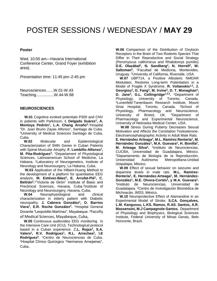#### **Poster**

Wed. 10:00 am—Havana International Conference Center, Grand Foyer (exhibition area).

*Presentation time:* 11:45 pm–2:45 pm

Neurosciences……W.01-W.43 Teaching….............W.44-W.68

#### **NEUROSCIENCES**

 **W.01** Cognitive evoked potentials P300 and CNV in patients with Parkinson. **I. Delgado Suárez<sup>1</sup> , A. Montoya Pedrón<sup>1</sup> , L.A. Chang Arraño<sup>2</sup>** . <sup>1</sup>Hospital "Dr. Juan Bruno Zayas Alfonso", Santiago de Cuba. <sup>2</sup>University of Medical Sciences Santiago de Cuba, Cuba.

 **W.02** Molecular and Epidemiological Characterization of SMN Genes in Cuban Patients with Spinal Muscular Atrophy. **F. Lombillo-Alfonso<sup>1</sup> , M. Pita-Rodríguez<sup>2</sup> .** <sup>1</sup>Departament of Physiological Sciences, Latinoamerican School of Medicine, La Habana. <sup>2</sup>Laboratory of Neurogenetics, Institute of Neurology and Neurosurgery, La Habana, Cuba.

 **W.03** Application of the Hilbert-Huang Method to the development of a platform for quantitative EEG analysis. **M. Estévez-Báez<sup>2</sup> , E. Arrufat-Pié<sup>1</sup> , C. Beltrán<sup>2</sup> .** 1 "Victoria de Girón" Institute of Basic and Preclinical Sciences, Havana, Cuba.<sup>2</sup>Institute of Neurology and Neurosurgery, Havana, Cuba.

 **W.04** Neurophysiological and clinical characterization in elderly patient with Diabetic neuropathy. **J. Cabrera González<sup>1</sup> , O. Barrios Viera<sup>1</sup> , E.R. Roche González<sup>2</sup> .** <sup>1</sup>Hospital General Docente "Leopoldito Martínez", Mayabeque. <sup>2</sup>Faculty of Medical Sciences, Mayabeque, Cuba,

 **W.05** Continuous audiovideo EEG monitoring in the Intensive Care Unit (ICU). Technological protocol based in a Cuban experience. Z**.L. Rojas<sup>2</sup> , S.A. Valero<sup>1</sup> , R.V. Rodríguez<sup>1</sup> , R.L. Arrechea<sup>2</sup> , I.E**  Rodríguez<sup>2</sup>. <sup>1</sup>Centro de Neurociencias de Cuba. <sup>2</sup>Hospital Clínico Quirúrgico "Hermanos Ameijeiras", Cuba.

**W.06** Comparison of the Distribution of Oxytocin Receptors in the Brain of Two Rodents Species That Differ in Their Reproductive and Social Strategy (Peromyscus californicus and Rhabdomys pumilio) **D.E. Olazábal<sup>1</sup> , N. Sandberg<sup>1</sup> , N. Horrell<sup>2</sup> , W. Saltzman<sup>2</sup> .** <sup>1</sup>Facultad de Medicina, Montevideo, Uruguay. <sup>2</sup>University of California, Riverside, USA.

 **W.07** UBP714, a Positive Allosteric NMDAR Modulator, Restores Long-term Potentiation in a Model of Fragile X Syndrome. **R. Volianskis1,2, J.**  Georgiou<sup>2</sup>, G. Fang<sup>3</sup>, M. Irvine<sup>3</sup>, D. T. Monaghan<sup>4</sup>, **D. Jane<sup>3</sup> , G.L. Collingridge1,2,3 .** <sup>1</sup>Department of Physiology, University of Toronto, Canada. <sup>2</sup>Lunenfeld-Tanenbaum Research Institute, Mount Sinai Hospital, Toronto, Canada. <sup>3</sup>School of Physiology, Pharmacology and Neuroscience, University of Bristol, UK. <sup>4</sup>Department of Pharmacology and Experimental Neuroscience, University of Nebraska Medical Center, USA.

 **W.08** Stress During Puberty Decreases Sexual Motivation and Affects the Correlation Testosterone-Electroencephalographic Activity in Adult Male Rats. **E. Hernández Arteaga<sup>1</sup> , M.L. Ramírez Rentería<sup>1</sup> , M.**  Hernández González<sup>1</sup>, M.A. Guevara<sup>1</sup>, H. Bonilla<sup>2</sup>, **M. Arteaga Silva<sup>2</sup> .**  1 Instituto de Neurociencias, CUCBA, Universidad de Guadalajara, México. <sup>2</sup>Departamento de Biología de la Reproducción, Universidad Autónoma Metropolitana-Unidad Iztapalapa, México.

 **W.09** Effect of sexual behavior on seizures and dopamine levels in male rats. **M.L. Ramírez-Rentería<sup>1</sup> , E. Hernández-Arteaga<sup>1</sup> , M. Hernández-González<sup>1</sup> , M.E. Olvera-Cortés<sup>2</sup> , y M.A. Guevara<sup>1</sup> .** 1 Instituto de Neurociencias, Universidad de Guadalajara. <sup>2</sup>Centro de Investigación Biomédica de Michoacán, IMSS, México.

 **W.10** Neuroprotective Effect of Alamandine in an Experimental Model of Stroke. **S.CA. Gonçalves, L.M. Kangussu, L.KS. Ramos, R.AS. Santos, A.R. Massensini, M.J Campagnole-Santos.** Department of Physiology and Biophysics, Biological Sciences Institute, Federal University of Minas Gerais, Belo Horizonte, Brazil.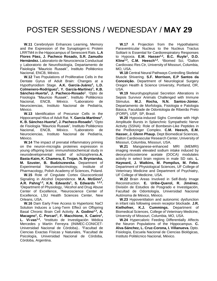**W.11** Cerebrolysin Enhances Learning, Memory and the Expression of the Synaptogen-ic Protein LRRTM4 in the Hippocampus of Senescent Rats. **L.A Flores Páez, J. Pacheco Rosado, S.R. Zamudio Hernández.** Laboratorio de Neurociencia Conductual y Laboratorio de Neurofisiología, Departamento de Fisiología "Mauricio Russek", Instituto Politécnico Nacional, ENCB, México.

 **W.12** Two Populations of Proliferative Cells in the Dentate Gyrus of Adult Brain: Changes at a Hypothyroidism Stage. **A.K. García-Juárez<sup>1</sup> , L.D. Colmenero-Rodríguez<sup>1</sup> , Y. García-Martínez<sup>1</sup> , K.B. Sánchez-Huerta<sup>2</sup> , J. Pacheco-Rosado<sup>1</sup>** . <sup>1</sup>Dpto de Fisiología "Mauricio Russek", Instituto Politécnico Nacional, ENCB, México. <sup>2</sup>Laboratorio de Neurociencias, Instituto Nacional de Pediatría, México.

 **W.13** Identification of Precursor Cells in the Hippocampal Hilus of Adult Rat. **Y. García-Martínez<sup>1</sup>** , **K. B. Sánchez-Huerta<sup>2</sup> , J. Pacheco-Rosado<sup>1</sup> .**  <sup>1</sup>Dpto de Fisiología "Mauricio Russek", Instituto Politécnico Nacional, ENCB, México. <sup>2</sup>Laboratorio de Neurociencias, Instituto Nacional de Pediatría, México.

 **W.14** The impact of prenatal inflammatory priming on the neuron-microglia proteines expression in young offspring brain: immunohistochemical study in neurodevelopmental model of schizophrenia.**A. Basta-Kaim, K. Chamera, E. Trojan, N. Bryniarska, M. Szuster, B. Budziszewska.** Department of Experimental Neuroendocrinology, Institute of Pharmacology, Polish Academy of Sciences, Poland. **W.15** Role of Cingulate Cortex Glucocorticoid

Signaling in Alcohol Dependence. **M.A. McGinn<sup>1</sup> , A.R. Pahng1,2, K.N. Edwards<sup>1</sup> , S. Edwards 1,2,3 .** <sup>1</sup>Department of Physiology, <sup>2</sup>Alcohol and Drug Abuse Center of Excellence, <sup>3</sup>Neuroscience Center of Excellence, LSU Health Sciences Center, New Orleans, USA.

 **W.16** Dam Early Free Access to Hypertonic NaCl Solution Induces a Long-Term Effect on Offspring Basal Chronic Brain Cell Activity. **A. Godino1,3 , A. Macagno<sup>1</sup> , C. Porcari<sup>1</sup> , F. Macchione, X. Caeiro<sup>1</sup> , L. Vi-vas1,2 .** 1 Instituto de Investigación Médica Mercedes y Martín Ferreyra (INIMEC-CONICET-Universidad Nacional de Córdoba).. <sup>2</sup>Facultad de Ciencias Exactas Físicas y Naturales, <sup>3</sup>Facultad de Psicología, Universidad Nacional de Córdoba, Córdoba, Argentina.

 **W.17** A Projection from the Hypothalamic Paraventricular Nucleus to the Nucleus Tractus Solitarii is Essential for Cardiorespiratory Responses to Hypoxia. **E.M. Hasser1,2, B.C. Ruyle<sup>1</sup> , D.D. Kline1,2, C.M. Heesch1,2 .** <sup>1</sup>Biomed Sci, <sup>2</sup>Dalton Cardiovasc Res Ctr, University of Missouri, Columbia, MO, USA.

 **W.18** Central Neural Pathways Controlling Skeletal Muscle Shivering. **S.F. Morrison, E.P Santos da Conceição.** Department of Neurological Surgery Oregon Health & Science University, Portland, OR, USA.

 **W.19** Neurohypophysial Secretion Alterations in Sepsis Survivor Animals Challenged with Immune Stimulus. **M.J. Rocha, N.N. Santos-Júnior.**  Departamento de Morfologia, Fisiologia e Patologia Básica, Faculdade de Odontologia de Ribeirão Preto (FORP), USP, SP, Brasil.

 **W.20** Hypoxia-induced Sighs Correlate with High Amplitude Bursts in Splanchnic Sympathetic Nerve Activity (SSNA): Role of Bombesin-Like Peptides in the PreBotzinger Complex. **C.M. Heesch, E.M. Hasser, J. Glenn Phaup.** Dept Biomedical Sciences, Dalton Cardiovascular Research Center, University of Missouri, Columbia, Missouri, USA.

 **W.21** Manganese-enhanced MRI (MEMRI) imaging reveals elevated sodium intake induced by deoxycorticosterone acetate (DOCA) modulates activity in select brain regions in male SD rats. **L. Hayward, J. Watkins, M. Pompilus, M. Febo.** Department of Physiological Sciences, UF College of Veterinary Medicine and Department of Psychiatry, UF College of Medicine, USA.

 **W.22** Brain Areas Involved in Self-Body Image Reconstruction. **E. Uribe-Querol, R. Jiménez.** División de Estudios de Posgrado e Investigación, Facultad de Odontología, Universidad Nacional Autónoma de México, México.

 **W.23** Hypoventilation and autonomic dysfunction in infant rats following orexin receptor blockade. **J.R. Kielhofner, K.J. Cummings.** Department of Biomedical Sciences, College of Veterinary Medicine, University of Missouri, Columbia, MO, USA.

 **W.24** Hypercaloric Feeding Differentially Affects the Neuron Populations of the Hippocampus. **C. Alva-Sánchez, L. Cruz-Corona, I. Villanueva.** Dpto. Fisiología, Escuela Nacional de Ciencias Biológicas, Instituto Politécnico Nacional, México.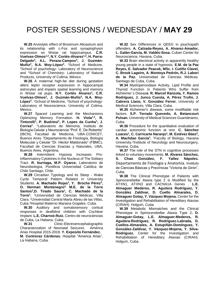**W.25** Anxiolytic effect of Brosimum Alicastrum and its relationship with c-Fos and synaptophysin expression on Wistar rat hippocampus. **C.R. Vuelvas-Olmos1,2, N.Y. Cortés-Alvarez1,2, H. Parra-Delgado<sup>3</sup> , A.L. Peraza-Campos<sup>3</sup> , J. Guzmán-Muñiz<sup>2</sup> , N.A. Moy-López<sup>2</sup> .** <sup>1</sup>School of Medicine, <sup>2</sup>School of psychology- Laboratory of Neuroscience and <sup>3</sup>School of Chemistry- Laboratory of Natural Products, University of Colima, México.

 **W.26** A maternal high-fat diet during gestation alters leptin receptor expression in hippocampal astrocytes and impairs spatial learning and memory in Wistar rat pups. **N.Y. Cortés Alvarez<sup>1</sup> , C.R. Vuelvas-Olmos<sup>2</sup> , J. Guzmán-Muñiz<sup>2</sup> , N.A. Moy-López<sup>2</sup> .** 1School of Medicine, 2School of psychology-Laboratory of Neuroscience, University of Colima, México.

 **W.27** Spaced Learning and the Mechanisms Optimizing Memory Formation. **H. Viola1,2, R. Tintorelli<sup>1</sup> , P. Budriesi<sup>1</sup> , P. Lopes da Cunha<sup>1</sup> , J. Correa<sup>1</sup>** . <sup>1</sup>Laboratorio de Memoria, Instituto de Biología Celular y Neurociencia "Prof. E. De Robertis" (IBCN), Facultad de Medicina, UBA-CONICET, Buenos Aires. <sup>2</sup>Departamento de Fisiología, Biología Molecular y Celular "Dr. Héctor Maldonado" (FBMC), Facultad de Ciencias Exactas y Naturales, UBA, Buenos Aires, Argentina.

 **W.28** Intermittent Hypoxia Increases Pro-Inflammatory Cytokines in the Nucleus of The Solitary Tract. **R. Iturriaga, M.P. Oyarce.** Laboratorio de Neurobiología, Pontificia Universidad Católica de Chile Santiago, Chile.

 **W.29** Circadian Typology and its Sleep - Wake Cycle Temporal Pattern Related in University Students. **A. Machado Rojas<sup>1</sup> , Y. Broche Pérez<sup>2</sup> , O. Norman Montenegro2, M.E. de la Torre Santos<sup>3</sup> ,D. Tirado Saura<sup>1</sup> , C. Machado de la Torre<sup>1</sup> .** <sup>1</sup>Universidad de Ciencias Médicas, Villa Clara. <sup>2</sup>Universidad Central Marta Abreu de las Villas, Cuba.<sup>3</sup>Hospital Materno Mariana Grajales, Cuba.

 **W.30** Auditory and somatosensory cortical responses in deafblind children with Cochlear Implant. **L.E. Charroó-Ruíz.** Centro de neurociencias de Cuba, La Habana, Cuba.

 **W.31** Clinic-Electroencephalographic Characterization of Neonatal Seizures. América Arias Hospital 2015-2018. **Y. Exposito Fernández.**

**M. Contreras Cárdenas.** Hospital "America Arias", La Habana, Cuba.

 **W.32** Sex Differences in QEEG in psychopath offenders. **A. Calzada-Reyes, A. Alvarez-Amador, L. Galán-García, M. Valdés-Sosa.** Cuban Center for Neuroscience, Havana, Cuba.

 **W.33** Brain electrical activity in apparently healthy young people in a state of hypnosis. **E.M. de la Paz Reyes, E. Salvador Peacok, MSc. I. Cutiño Clavel, C. Brook Lageire, A. Montoya Pedrón, R.J. Laborí de la Paz.** Universidad de Ciencias Médicas. Santiago de Cuba, Cuba.

 **W.34** Myeloperoxidase Activity, Lipid Profile and Thyroid Function in Patients Who Suffer from Alzheimer´s Diseas**e. R. Marcel Ranzola, Y. Ramos Rodríguez, J. Junco Cuesta, A. Pérez Trufin, J. Cabrera Llano, V. González Ferrer.** University of Medical Sciences, Villa Clara, Cuba.

 **W.35** Alzheimer's disease, some modifiable risk factors. **S.P. Terrado Quevedo, A. Betancourt Pulsan.** University of Medical Sciences Guantánamo, Cuba.

 **W.36** Procedure for the quantitative evaluation of cardiac autonomic function at rest. **C. Sánchez Luaces<sup>1</sup> , C. Carricarte Naranjo<sup>1</sup> , M. Estévez Báez<sup>2</sup> , A. Machdao García<sup>1</sup> .** <sup>1</sup>Faculty of Biology, Havana University.<sup>2</sup>Institute of Neurology and Neurosurgery, Havana, Cuba.

 **W.37** The role of the STN in cognitive processes linked to voluntary movements**. M. Alvarez Sánchez, S. Chao González, F. Yañez Nápoles.** Departamento de Fisiología y Anatomía. Instituto de Ciencias Básicas y Preclínicas "Victoria de Girón", Cuba.

 **W.38** The Clinical Phenotype of Patients with Spinocerebellar Ataxia type 2 is Modified by the ATXN1, ATXN3 and CACNA1A Genes . **L.E. Almaguer Mederos, R. Aguilera Rodríguez, Y. González Zaldívar, D. Cuello Almarales, D. Almaguer Gotay, Y. Vázquez Mojena.** Center for the Investigation and Rehabilitation of Hereditary Ataxias (CIRAH). Holguín, Cuba

 **W.39** Metabolic Mismatches and the Clinical Phenotype in Spinocerebellar Ataxia Type 2**. D. Almaguer-Gotay, L.E. Almaguer-Mederos, R. Aguilera-Rodríguez, R. Rodríguez-Labrada, D. Cuellos-Almarales, A. Estupiñán-Domínguez, Y. González-Zaldívar, Y. Vázquez-Mojena, Y. Silva-Rodríguez.** Center for the Investigation and Rehabilitation of Hereditary Ataxias (CIRAH). Holguín, Cuba.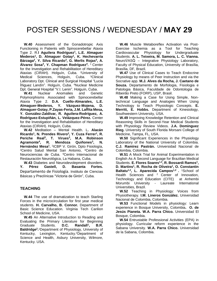**W.40** Assessment of the Gonadotropic Axis Functioning in Patients with Spinocerebellar Ataxia Type 2. R.**l Aguilera Rodríguez<sup>1</sup> , L.E. Almaguer Mederos<sup>1</sup> , D. Almaguer Gotay<sup>1</sup> , K. Hechevarría Bárzaga<sup>2</sup> , Y. Silva Ricardo<sup>3</sup> , G. Merlis Rojas<sup>3</sup> , A. Álvarez Sosa<sup>4</sup>, Y. Chapman Rodríguez<sup>4</sup>. <sup>1</sup> Center** for the Investigation and Rehabilitation of Hereditary Ataxias (CIRAH). Holguín, Cuba. <sup>2</sup>University of Medical Sciences, Holguín, Cuba. <sup>3</sup>Clinical Laboratory Dpt. Clinical and Surgical Hospital "Lucía Íñiguez Landín". Holguín, Cuba. <sup>4</sup>Nuclear Medicine Dpt. General Hospital "V.I. Lenin". Holguín, Cuba.

 **W.41** Nuclear Anomalies and Genetic Polymorphisms Associated with Spinocerebellar Ataxia Type 2. **D.A. Cuello-Almarales, L.E. Almaguer-Mederos, Y. Vázquez-Mojena, D. Almaguer-Gotay, P.Zayas-Feria, J.M. Laffita Mesa, Y. González-Zaldívar, R. Aguilera-Rodríguez, A. Rodríguez-Estupiñán, L. Velázquez-Pérez.** Center for the Investigation and Rehabilitation of Hereditary Ataxias (CIRAH). Holguín, Cuba.

 **W.42** Meditation – Mental Health. L**. Alacán Ricardo<sup>1</sup> , N. Prendes Rivero<sup>2</sup> , Y. Cuza Ferrer<sup>1</sup> , R. Periche Real<sup>3</sup> , T. Virues<sup>3</sup> , M.A. Robinson Agramonte<sup>4</sup> , R. Mendoza Quiñones<sup>3</sup> , N. Hernández Mesa<sup>1</sup> .** 1 ICBP V. Girón, Dpto Fisiología, <sup>2</sup>Centro Salud Mental San Antonio, <sup>3</sup>Centro de Neurociencias de Cuba. <sup>4</sup>Centro Internacional de Restauración Neurológica, La Habana, Cuba.

 **W.43** Diabetes and Neurodevolepment disorders. **Y. Pérez Gastell, D. Basanta Fortes.** Departamento de Fisiología. Instituto de Ciencias Básicas y Preclínicas "Victoria de Girón", Cuba.

#### **TEACHING**

 **W.44** The use of dramatization to teach Starling Forces in the microcirculation for first year medical students. **H. Carvalho, B. Connor.** Department of Basic Science Education. Virginia Tech Carilion School of Medicine, USA.

 **W.45** An Alternative Introduction to Reading and Evaluating the Primary Literature for Beginning Graduate Students. **D.C. Randall<sup>1</sup> , B.R. Baldridge<sup>2</sup> .** <sup>1</sup>Department of Physiology, University of Kentucky, Lexington, Kentucky. <sup>2</sup>Department of Science and Health, Asbury University, Wilmore, Kentucky. USA.

 **W.46** Muscle Metaboreflex Activation via Post-Exercise Ischemia as a Tool for Teaching Cardiovascular Physiology for Undergraduate Students. **A. L. Teixeira, M. Samora, L. C. Vianna.** NeuroVASQ – Integrative Physiology Laboratory, Faculty of Physical Education, University of Brasília, Brasília, DF, Brazil.

 **W.47** Use of Clinical Cases to Teach Endocrine Physiology by means of Peer Instruction and via the Socrative app. **M.J. Alves da Rocha, J. Caetano de Souza.** Departamento de Morfologia, Fisiologia e Patologia Básica, Faculdade de Odontologia de Ribeirão Preto (FORP), USP, Brasil.

 **W.48** Making a Case for Using Simple, Nontechnical Language and Analogies When Using Technology to Teach Physiologic Concepts. **E. Merritt, E. Hobbs.** Department of Kinesiology, Southwestern University, USA.

 **W.49** Improving Knowledge Retention and Clinical Reasoning Skills in Second-Year Medical Students with Physiology Review Videos. **J.A. Dominguez Rieg.** University of South Florida Morsani College of Medicine, Tampa, FL, USA.

 **W.50** Significant Experiences in the Physiology Laboratory of the National University of Colombia. **C.J. Ramírez Pastrán.** Universidad Nacional de Colombia, Colombia.

 **W.51** A Mock Trial for Animal Experimentation in English As A Second Language for Brazilian Medical Students. **E. Flores Soares1,2, R. Bossardi Ramos<sup>1</sup> , D. Martins<sup>1</sup> , R. Rocha de Oliveira<sup>1</sup> , O. Constantin Baltatu1,2, L. Aparecida Campos1,2 .** <sup>1</sup>School of Health Sciences and <sup>2</sup> Center of Innovation, Technology and Education (CITE) at Anhembi Morumbi University - Laureate International Universities, Brazil.

 **W.52** Teaching in Physiology: Voices from Physiotherapy. **I.M. Lineros González.** Universidad Nacional de Colombia, Colombia.

 **W.53** Functional Models in physiology: Learn experience in Bosque University, Colombia**. O. de Jesús Pianeta. W.A. Parra Chico.** Universidad El Bosque, Colombia.

 **W.54** Entrustable Professional Activities (EPA) in physiology. Curricular reform experience in the Sabana University. **W.A. Parra Chico.** Universidad de la Sabana, Colombia.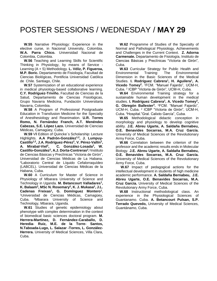**W.55** Narrative Physiology: Experience in the elective curse, in Nacional University, Colombia. **W.A. Parra Chico.** Universidad Nacional de Colombia, Colombia.

 **W.56** Teaching and Learning Skills for Scientific Thinking in Physiology, by means of Service - Learning (A + S) Methodology. **L. Véliz, P. Figueroa, M.P. Boric.** Departamento de Fisiología, Facultad de Ciencias Biológicas, Pontificia Universidad Católica de Chile. Santiago, Chile.

 **W.57** Systemization of an educational experience in medical physiology-based collaborative learning. **C.Y. Rodríguez-Triviño.** Facultad de Ciencias de la Salud, Departamento de Ciencias Fisiológicas, Grupo Navarra Medicina, Fundación Universitaria Navarra, Colombia.

 **W.58** A Program of Professional Postgraduate Education in Transfusion Medicine for the Specialty of Anesthesiology and Reanimation. **U.R. Torres Romo, N. Fernández Franch, A.T. Menéndez Cabezas, S.E. López Lazo.** Universidad de Ciencias Médicas, Camagüey, Cuba.

 **W.59** Vll Edition of Quincke´s Scholarship: Lecture Highlights. **A.A Padrón-González1,2, J. Lumpuy-Castillo1,2, J.A. Rodríguez-Pérez<sup>2</sup> , V. Pérez-Vallín<sup>2</sup> , A. Mirabal-Viel<sup>2</sup> , C. González-Losada<sup>2</sup> , W. Castillo-González<sup>2</sup> , A.J. Dorta-Contreras<sup>2</sup> .** 1 Instituto de Ciencias Básicas y Preclínicas "Victoria de Girón", Universidad de Ciencias Médicas de La Habana. <sup>2</sup>Laboratorio Central de Líquido Cefalorraquídeo (LABCEL). Universidad de Ciencias Médicas de la Habana, Cuba.

 **W.60** A Curriculum for Master of Science in Physiology of Mbarara University of Science and Technology in Uganda. **M. Betancourt Valladares<sup>1</sup> , K. Balaam<sup>2</sup> , MSc N. Rosemary<sup>2</sup> , K. J. Mukasa<sup>2</sup> , J.L. Cadenas Freixas<sup>1</sup> , G. Domínguez Montero<sup>1</sup> .** <sup>1</sup>Universidad de Ciencias Médicas, Camagüey, Cuba. <sup>2</sup>Mbarara University of Science and Technology, Mbarara, Uganda.

 **W.61** Studies of genetic epidemiology about phenotype with complex determination in the context of biomedical basic sciences doctoral program. **M. Herrera-Martínez, D. Fernández-Caraballo, D. Heredia- Ruiz, M.E. de la Torre- Santos, N.Taboada-Lugo, L. Salazar -Torres, L. González-Herrera.** University of Medical Sciences, Villa Clara, Cuba.

 **W.62** Programme of Studies of the Specialty of Normal and Pathological Physiology. Achievements and Challenges in the Current Context. **Z. Adorna Carmenate.** Departamento de Fisiología, Instituto de Ciencias Básicas y Preclínicas "Victoria de Girón", Cuba.

 **W.63** Curricular Strategy for Public Health and Environmental Training: The Environmental Dimension in the Basic Sciences of the Medical Studies. I. Rodríguez Cabrera<sup>1</sup>, H. Aguilera<sup>1</sup>, A. **Vicedo Tomey<sup>2</sup> .** <sup>1</sup>FCM. "Manuel Fajardo", UCM-H, Cuba. <sup>2</sup> ICBP "Victoria de Girón", UCM-H, Cuba.

 **W.64** Environmental Training strategy for a sustainable human development in the medical studies. **I. Rodríguez Cabrera<sup>1</sup>, A. Vicedo Tomey<sup>2</sup>, G. Obregón Ballester<sup>3</sup> .** <sup>1</sup>FCM. "Manuel Fajardo", UCM-H, Cuba. <sup>2</sup> ICBP "Victoria de Girón", UCM-H, Cuba. <sup>3</sup>Hospital."Gral. Calixto García", Cuba.

 **W.65** Methodological didactic conception in morphology and physiology to develop cognitive ability. **J.E. Abreu Ugarte, A. Saldaña Bernabeu, O.E. Benavides Socarras, M.A. Cruz García.** University of Medical Sciences of the Revolutionary Army Force, Cuba.

 **W.66** Correlation between the criterion of the professor and the academic results ends in Molecular Biology. **J.E. Abreu Ugarte, A. Saldaña Bernabeu, O.E. Benavides Socarras, M.A. Cruz García.** University of Medical Sciences of the Revolutionary Army Force, Cuba.

 **W.67** Impact of pedagogical actions for the intellectual development in students of high medicine academic performance. **A. Saldaña Bernabeu, J.E. Abreu Ugarte, O.E. Benavides Socarras, M.A. Cruz García.** University of Medical Sciences of the Revolutionary Army Force, Cuba.

 **W.68** Instructional methodological class. An experience in the Physiological Sciences of Guantanamo. Cuba. **A. Betancourt Pulsan, S.P. Terrado Quevedo,** University of Medical Sciences, Guantánamo, Cuba.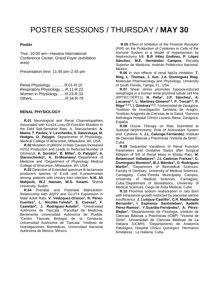#### **Poster**

Thur. 10:00 am—Havana International Conference Center, Grand Foyer (exhibition area)

*Presentation time:* 11:45 pm–2:45 pm

Renal Physiology….....….R.01-R.10 Respiratory Physiology.....R.11-R.22 Women in Physiology.......R.23-R.33 Others...............................R.34-R-79

#### **RENAL PHYSIOLOGY**

 **R.01** Neurological and Renal Channelopathies Associated with Kcnj16 Loss-Of-Function Mutation in the Dahl Salt-Sensitive Rats. A. Staruschenko, **A. Manis, T. Pavlov, V. Levchenko, D. Ilatovskaya, M. Hodges, O. Palygin.** Departments of Physiology, Medical College of Wisconsin, Milwaukee, WI, USA.

 **R.02** Mutation of p66Shc in Rats Causes Increased H2O2 Production and Leads to Reduced Number of Glomeruli. A. Sorokin<sup>1</sup>, B. Miller<sup>1</sup>, O. Palygin<sup>2</sup>, A. **Staruschenko<sup>2</sup> , A. El-Meanawy<sup>1</sup>** . <sup>1</sup>Department of Medicine and <sup>2</sup>Department of Physiology Medical College of Wisconsin, Milwaukee, WI, USA.

 **R.03** Detection of Extended spectrum B-lactamase producers species of E.coli and K.pneumoniae among patients with Urinary tract infection. **N.M. Ali Mahjoub, W.Z Hassan, W.S. Kwami.** Shendi University, Sudan.

 **R.04** Prenatal and Postnatal Malnutrition: Relationship with AQP2 and GLUT4 Expression in Male Adult Rats. V. Velázquez-Orozco<sup>1</sup>, R. Pérez-**Fuentes<sup>2</sup> , L. Nicolás-Toledo<sup>3</sup> , E. Cuevas<sup>3</sup> , F. Castelán<sup>4</sup> , J. Rodríguez-Antolín<sup>3</sup> .** <sup>1</sup>Universidad Autónoma de Tlaxcala. <sup>2</sup>Facultad de Medicina, Benémerita Universidad Autónoma de Puebla. <sup>3</sup>Centro Tlaxcala Biología de la Conducta, Universidad Autónoma de Tlaxcala. <sup>4</sup> Instituto de Investigaciones Biomédicas, Universidad Nacional Autónoma de México, México.

 **R.05** Effect of Inhibition of the Prorenin Receptor (PrR) on the Production of Cytokines in Cells of the Immune System in a Model of Hypertension by Nephrectomy 5/6. **B.R Vélez Godínez, P. López Sánchez, M.E. Hernández Campos.** Escuela Superior de Medicina, Instituto Politécnico Nacional, México.

 **R.06** In vivo effects of renal Npt2a inhibition. **T. Rieg, L. Thomas, J. Xue, J.A. Dominguez Rieg.** Molecular Pharmacology and Physiology, University of South Florida, Tampa, FL, USA.

 **R.07** Shear stress promotes hypoxia-induced autophagia in a human renal proximal tubule cell line (RPTEC-TERT1). **N. Peña<sup>1</sup> , J.P. Sánchez<sup>1</sup> , A. Lacueva1,2, L. Martínez-Gimeno2,3, P. Torcal2,3, P. Íñigo1 2,3 4, I. Giménez1,2,3 .** <sup>1</sup>Universidad de Zaragoza, 2 Instituto de Investigación Sanitaria de Aragón, 3 Instituto Aragonés de Ciencias de la Salud, <sup>4</sup>Servicio Nefrología Hospital Clínico Lozano Blesa, Zaragoza, España.

 **R.08** Ozone Therapy on Rats Submitted to Subtotal Nephrectomy: Role of Antioxidant System and Cytokine 6. **J.L. Calunga Fernández.** Instituto de Ciencias Básicas y Preclínicas "Victoria de Girón", Cuba.

 **R.09** Sequential Variations of Renal Function Parameters and Oxidative Status after Surgical Ablation of 5/6 of Renal Mass in Wistar Rats. **M. Betancourt Valladares<sup>1</sup> , J.L Cadenas Freixas<sup>1</sup> , G. Dominguez Montero<sup>2</sup> , M.J. Méndez<sup>1</sup> , O. Rodríguez Martín<sup>3</sup> .**  <sup>1</sup>Department of Biomedical Sciences, Faculty of Dentistry, University of Medical Sciences, Camagüey, Cuba.<sup>2</sup>Florida Municipality Campus, University of Medical Sciences, Camagüey, Cuba.<sup>3</sup>Department of Biostatistics, University of Medical Sciences, Ciego de Ávila Medical, Cuba.

 **R.10** Proximal sodium reabsorption in rats born with intrauterine growth restricted by placental uterine insufficiency. **J. Lumpuy-Castillo<sup>1</sup> , C.R. Maldonado Bernardo<sup>1</sup> , I. Espinosa- Santisteban<sup>1</sup> , Aydelín Pérez-Ramos<sup>1</sup> , Y.Suardia-Fernández<sup>2</sup> , A. Pérez-Mejías<sup>1</sup> .** <sup>1</sup>Departamento de Fisiología, Instituto de Ciencias Básicas y Preclínicas (ICBP) "Victoria de Girón", Universidad de Ciencias Médicas de La Habana (UCMH). <sup>2</sup>Departamento de Anatomía Patológica, Hospital Clínico Quirúrgico ¨Hermanos Ameijeiras¨, La Habana, Cuba.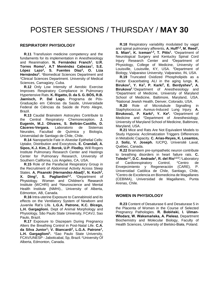#### **RESPIRATORY PHYSIOLOGY**

 **R.11** Transfusion medicine competency and the fundaments for its implementation in Anesthesiology and Reanimation. **N. Fernández Franch<sup>1</sup> . U.R. Torres Romo<sup>1</sup> , A.T Menéndez Cabezas<sup>1</sup> , S.E. López Lazo<sup>2</sup> , S. Fuentes Díaz<sup>2</sup> , O. Liza Hernández<sup>2</sup> .** <sup>1</sup>Biomedical Sciences Department and <sup>2</sup>Clinical Sciences Department. University of Medical Sciences, Camagüey, Cuba.

 **R.12** Only Low Intensity of Aerobic Exercise Improves Respiratory Compliance in Pulmonary Hypertensive Rats. **K. Rigatto, D. da S. G. BÓS, R.B. Jaenisch, P. Dal Lago.** Programa de Pós-Graduação em Ciências da Saúde, Universidade Federal de Ciências da Saúde de Porto Alegre, Brazil.

 **R.13** Caudal Brainstem Astrocytes Contribute to the Central Respiratory Chemoreception. **J. Eugenín, M.J. Olivares, S. Beltrán-Castillo, D. Cáceres-Vergara.** Laboratorio de Sistemas Neurales, Facultad de Química y Biología, Universidad de Santiago de Chile, Chile.

 **R.14** Nanoparticle Fate in Alveolar Epithelial Cells: Uptake, Distribution and Exocytosis**. E. Crandall, A. Sipos, K.J. Kim, Z. Borok, U.P. Flodby.** Will Rogers Institute Pulmonary Research Center and Hastings Center for Pulmonary Research, University of Southern California, Los Angeles, CA, USA.

 **R.15** Role of the Parafacial Respiratory Group in the Recruitment of Abdominal Activity Across Sleep States. **A. Pisanski (Hernandez-Abad)<sup>1</sup> , N. Koch<sup>2</sup> , X. Ding<sup>1</sup> , S. Pagliardini1,2 .** <sup>1</sup>Department of Physiology. Women and Children's Research Institute (WCHRI) and <sup>2</sup>Neuroscience and Mental Health Institute (NMHI)., University of Alberta, Edmonton, AB, Canada.

 **R.16** Intra-uterine Exposure to Cannabinoid and its effects on the Ventilatory System of Newborn and Juvenile Rat's Life. **L.G.A. Patrone, K.C. Bícego, L.H. Gargaglioni.** Dept of Animal Morphology and Physiology, São Paulo State University, FCAVJ, Sao Paulo, Brazil.

 **R.17** Exposure to Diazepam During Pregnancy Alters the Breathing Control in Post-Natal Life. **C.A. da Silva Junior<sup>1</sup> ; V. Biancardi<sup>2</sup> , L.G.A. Patrone<sup>1</sup> , L.H. Gargaglioni<sup>1</sup> .**  <sup>1</sup>Sao Paulo State University, FCAV/UNESP - Jaboticabal, Sp, Brazil. <sup>2</sup>University Of Alberta, Edmonton, Canada.

 **R.18** Respiratory variability modulated by vagal and spinal pulmonary afferents**. A. Huff1,2, M. Reed<sup>1</sup> , S. Mian<sup>1</sup> , K. Iceman1,3, T. Pitts<sup>1</sup> .** <sup>1</sup>Department of Neurological Surgery and Kentucky Spinal Cord Injury Research Center and <sup>2</sup>Department of Physiology, College of Medicine, University of Louisville, Louisville, KY, USA. <sup>3</sup>Department of Biology, Valparaiso University, Valparaiso, IN, USA.

 **R.19** Truncated Oxidized Phospholipids as a Factor Exacerbating ALI in the aging lungs. **K. Birukov<sup>1</sup> , Y. Ke<sup>1</sup> , P. Karki<sup>2</sup> , E. Berdyshev<sup>3</sup> , A. Birukova<sup>2</sup>** . <sup>1</sup>Department of Anesthesiology and <sup>2</sup>Department of Medicine, University of Maryland School of Medicine, Baltimore, Maryland, USA. <sup>3</sup>National Jewish Health, Denver, Colorado, USA.

 **R.20** Role of Microtubule Signalling in Staphylococcus Aureus-Induced Lung Injury. **A. Birukova1, P. Karki<sup>1</sup> , Y. Ke<sup>2</sup> .** <sup>1</sup>Department of Medicine and <sup>2</sup>Department of Anesthesiology, University of Maryland School of Medicine, Baltimore, Maryland, USA.

 **R.21** Mice and Rats Are Not Equivalent Models to Study Hypoxia: Acclimatization Triggers Differences in Metabolic Capacity. **C. Arias-Reyes, K. Losantos, J. Soliz, V. Joseph.** IUCPQ, Université Laval, Québec, Canada.

 **R.22** Brainstem pre-sympathetic neuron contribute to breathing disorders in heart failure rats. **C. Toledo1,2, D.C. Andrade<sup>1</sup> , R. del Rio1,2,3 .** <sup>1</sup>Laboratory of Cardiorespiratory Control, <sup>2</sup>Centro de Envejecimiento y Regeneración (CARE), P. Universidad Católica de Chile, Santiago, Chile, <sup>3</sup>Centro de Excelencia en Biomedicina de Magallanes (CEBIMA), Universidad de Magallanes, Punta Arenas, Chile.

#### **WOMEN IN PHYSIOLOGY**

 **R.23** Content of Desaturase 6 and Desaturase 5 in the Placenta of Women in the Course of Selected Pregnancy Pathologies. **R. Bobiński, I. Ulman-Włodarz, W. Waksmańska, A. Pielesz.** Department Biochemistry and Molecular Biology, Faculty of Health Sciences, University of Bielsko-Biała, Poland.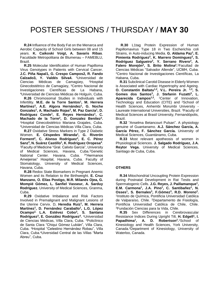**R.24** Influence of the Body Fat on the Menarca and Aerobic Capacity of School Girls between 08 and 15 years. **K. Caikoski Voigt, A. Savaris Ribas**. Faculdade Metropolitana de Blumenau – FAMEBLU, Brazil.

 **R.25** Molecular Identification of Human Papilloma Virus Genotypes in Patients with Cervical Cancer. **J.C. Piña Napal1, G. Crespo Campos2, R. Fando Calzado3, Y. Valdés Silva4.** <sup>1</sup>Universidad de Ciencias Médicas de Camagüey, <sup>2</sup>Hospital Ginecobstétrico de Camagüey, <sup>3</sup>Centro Nacional de Investigaciones Científicas de La Habana, <sup>4</sup>Universidad de Ciencias Médicas de Holguín, Cuba.

 **R.26** Chromosomal Studies in Individuals with Infertility. **M.E. de la Torre Santos<sup>1</sup> , M. Herrera Martínez<sup>2</sup> , A.E. Algora Hernández<sup>1</sup> , G. Noche Gonzalez<sup>1</sup> , A. Machado Rojas<sup>2</sup> , M. Paz García<sup>1</sup> , D. Rodríguez Conde<sup>1</sup> , E. Reyes Hernández<sup>1</sup> , C.**  Machado de la Torre<sup>2</sup>, D. Gonzalez Benítez<sup>2</sup>. <sup>1</sup>Hospital Ginecobstétrico Mariana Grajales, Cuba. <sup>2</sup>Universidad de Ciencias Médicas Villa Clara, Cuba.

 **R.27** Oxidative Stress Markers in Type 2 Diabetic Women. **E. Céspedes Miranda<sup>1</sup> , G. Riverón Forment<sup>2</sup> , C. Alonso Rodríguez<sup>3</sup> , E. C. Pérez**  Sanz<sup>3</sup>, N. Suárez Castillo<sup>1</sup>, K. Rodríguez Oropesa<sup>4</sup>. <sup>1</sup>Faculty of Medicine "Gral. Calixto García", University of Medical Sciences, Havana, Cuba.<sup>2</sup>Genetic National Center. Havana. Cuba. <sup>3</sup>"Hermanos Ameijeiras" Hospital, Havana, Cuba. Faculty of Stomatology, University of Medical Sciences, Havana, Cuba.

 **R.28** Redox State Biomarkers in Pregnant Anemic Women and its Relation to the Birthweight. **E. Cruz Manzano, O. Elías Postigo, M.R. Milanés Ojea, G. Mompié Gómez, L. Sanfiel Vasseur, A. Sarduy Rodríguez.** University of Medical Sciences, Granma, Cuba.

 **R.29** Oxidative Imbalance and Risk Factors Involved in Premalignant and Malignant Lesions of the Uterine Cervix. D**. Heredia Ruiz<sup>1</sup> , M. Herrera Martínez<sup>1</sup> , D. Fernández Caraballo<sup>1</sup> , L.G. López Ocampo2, L.A. Estévez Cobo<sup>3</sup> , S. Santana Rodríguez<sup>3</sup> , E. González Rodríguez<sup>4</sup> .** <sup>1</sup>Universidad de Ciencias Médicas, Villa Clara, Cuba. <sup>2</sup>Policlínico de Santa Clara "Chiqui Gómez Lubián", Villa Clara, Cuba. <sup>3</sup>Hospital "Celestino Hernández Robau", Villa Clara, Cuba.<sup>4</sup>Uiversidad Central de las Villas "Marta Abreu", Cuba.

 **R.30** L1tag Protein Expression of Human Papillomavirus Type 18 in Two Escherichia coli Strains, in Auto-inducing Media. **G. Aldama Paz<sup>1</sup> , E. Pimienta Rodríguez<sup>2</sup> , K. Marrero Domínguez<sup>2</sup> , S. Rodríguez Salgueiro<sup>2</sup> , Y. Serrano Rivero<sup>2</sup> , A. Falero Morejón<sup>2</sup> , S. Brito Molina<sup>2</sup> .** <sup>1</sup>Facultad de Ciencias Médicas "Salvador Allende", UCMH, Cuba. <sup>2</sup>Centro Nacional de Investigaciones Científicas, La Habana, Cuba.

 **R.31** Subclinical Carotid Disease in Elderly Women is Associated with Cardiac Hypertrophy and Ageing. **O. Constantin Baltatu1,2, V.L. Pereira Jr. 1,3, S. Gomes dos Santos<sup>3</sup> , J. Stefanin Fuzatti<sup>3</sup> , L. Aparecida Campos1,2 .** <sup>1</sup>Center of Innovation, Technology and Education (CITE) and <sup>2</sup>School of Health Sciences, Anhembi Morumbi University - Laureate International Universities, Brazil. <sup>3</sup>Faculty of Medical Sciences at Brasil University, Fernandópolis, Brazil.

 **R.32** "Anselma Betancourt Pulsan". A physiology genuine of Guantanamo. **A.J. Sánchez García, A. García Pérez, F. Sánchez García.** University of Medical Sciences, Guantánamo, Cuba.

 **R.33** Most relevant apotheosis of women in Physiological Sciences. **J. Salgado Rodríguez, J.A. Reytor Vega.** University of Medical Sciences, Santiago de Cuba, Cuba.

#### **OTHERS**

 **R.34** Mitochondrial Uncoupling Protein Expression during Postnatal Development in Rat Testis and Spermatogenic Cells. **J.G. Reyes, J. Paillamanque<sup>1</sup> , E.M. Carmona<sup>1</sup> , J.A. Pino<sup>1</sup> , C. Santibañez<sup>1</sup> , N. Osses<sup>1</sup> , S. Bernales<sup>3</sup> , F.Gómez<sup>3</sup> , R.D. Moreno<sup>2</sup> .** 1 Instituto de Química, Pontificia Universidad Católica de Valparaíso, Chile. <sup>2</sup>Departamento de Fisiología, Pontificia Universidad Católica de Chile, Chile. <sup>3</sup>Fundación Ciencias para la Vida, Chile.

 **R.35** Sex Differences in Cerebrovascular Resistance Indices During Upright Tilt. **H. Edgell<sup>1</sup> , I. Papadhima<sup>1</sup>, A. D. Robertson<sup>2</sup>.<sup>1</sup>School of** Kinesiology and Health Sciences, York University, Canada. <sup>2</sup>Department of Kinesiology, University of Waterloo, Canada.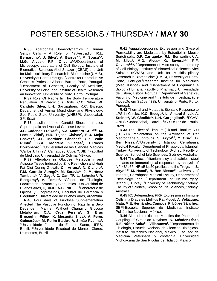**R.36** Bicarbonate Homeodynamics in Human Sertoli Cells – A Role for 17β-estradiol. **R.L.**  Bernardino<sup>1</sup>, J. Silva<sup>2</sup>, A. Barros<sup>2,3</sup>, M. Sousa<sup>1,2</sup>, **M.G. Alves<sup>1</sup> , P.F. Oliveira1,3** . <sup>1</sup>Department of Microscopy, Laboratory of Cell Biology, Institute of Biomedical Sciences Abel Salazar (ICBAS) and Unit for Multidisciplinary Research in Biomedicine (UMIB), University of Porto, Portugal. <sup>2</sup>Centre for Reproductive Genetics Professor Alberto Barros, Porto, Portugal. <sup>3</sup>Department of Genetics, Faculty of Medicine, University of Porto, and Institute of Health Research an Innovation, University of Porto, Porto, Portugal.

 **R.37** Role Of Raphe In The Body Temperature Regulation Of Precocious Birds. **C.C. Silva, W. Cândido Silva, L.H. Gargaglioni, K.C. Bícego.** Department of Animal Morphology and Physiology, Sao Paulo State University (UNESP), Jaboticabal, SP, Brazil.

 **R.38** Insulin in the Carotid Sinus Increases Suprahepatic and Arterial Glucose Levels

**J.L. Cadenas Freixas<sup>1</sup> , S.A. Montero Cruz2,3, M. Lemus Vidal<sup>2</sup> , H.R. Tejeda Chávez<sup>3</sup> , E.U. Mejía Chávez<sup>3</sup> , J.E. Martínez Sánchez<sup>3</sup> , C.Z. Valle Rubio<sup>3</sup> , S.A. Montero Villegas<sup>3</sup> , E.Roces Dorronsoro<sup>2</sup> .** <sup>1</sup>Universidad de las Ciencias Médicas "Carlos J. Finlay", Camagüey, Cuba.<sup>2</sup>CUIB, <sup>3</sup>Facultad de Medicina, Universidad de Colima, México.

 **R.39** Alteration in Glucose Metabolism and Adipose Tissue Induced by Zinc Restriction and High Fat Diet During Growth. C. Arranz<sup>1</sup>, N. Ciancio<sup>1</sup>, **F.M. Garrido Abregú<sup>1</sup> , M. Saravia<sup>1</sup> , J. Martínez Tambella<sup>1</sup> , V. Zago<sup>2</sup> , C. Caniffi<sup>1</sup> , L. Schreier<sup>2</sup> , R. Elesgaray<sup>1</sup> , A. Tomat<sup>1</sup> .** <sup>1</sup>Cátedra de Fisiología, Facultad de Farmacia y Bioquímica - Universidad de Buenos Aires, IQUIMEFA-CONICET. <sup>2</sup>Laboratorio de Lípidos y Lipoproteínas, Facultad de Farmacia y Bioquímica, Universidad de Buenos Aires, Argentina.

 **R.40** Four days of Fructose Supplementation Affected The Vascular Function of Rats In a Sex-Dependent Manner Without Changing Glucose Metabolism**. C.A. Cruz Pereira<sup>1</sup> , G. Brás Broseghini-Filho<sup>1</sup> , K. Mesquita Silva<sup>1</sup> , A. Peres Guimarães<sup>1</sup> , M. Perim Baldo<sup>2</sup> , A. Simão Padilha<sup>1</sup> .** <sup>1</sup>Universidade Federal do Espírito Santo, UFES, Brazil. <sup>2</sup>Universidade Estadual de Montes Claros, Unimontes, Brazil.

 **R.41** Aquaglyceroporins Expression and Glycerol Permeability are Modulated by Estradiol in Mouse Sertoli cells. D.F. Carrageta<sup>1</sup>, R.L. Bernardino<sup>1</sup>, A. **M. Silva<sup>1</sup> , M.G. Alves<sup>1</sup> , G. Soveral2,3, P.F. Oliveira1,4,5 .**  <sup>1</sup>Department of Microscopy, Laboratory of Cell Biology, Institute of Biomedical Sciences Abel Salazar (ICBAS) and Unit for Multidisciplinary Research in Biomedicine (UMIB), University of Porto, Porto, Portugal. <sup>2</sup>Research Institute for Medicines (iMed.ULisboa) and <sup>3</sup>Department of Bioquímica e Biologia Humana, Faculty of Pharmacy, Universidade de Lisboa, Lisboa, Portugal. <sup>4</sup>Department of Genetics, Faculty of Medicine and <sup>5</sup>Instituto de Investigação e Inovação em Saúde (i3S), University of Porto, Porto, Portugal.

 **R.42** Thermal and Metabolic Biphasic Response to LPS in Chicks. **K.C. Bícego<sup>1</sup> , L. Amaral-Silva<sup>1</sup> , A. Steiner<sup>2</sup> , W. Cândido<sup>1</sup> , L.H. Gargaglioni<sup>1</sup> .** 1FCAV-UNESP-Jaboticabal, Brazil. <sup>2</sup>ICB-USP-São Paulo, Brazil.

 **R.43** The Effect of Titanium (Ti) and Titanium 500 (Ti 500) Implantation on the Activation of Rat Macrophage Subgroups. **S. Akyol1,2, Y. Oruc<sup>1</sup> , B. Ben Nissan<sup>2</sup> .** <sup>1</sup>University of Istanbul, Cerrahpasa Medical Faculty, Department of Physiology, Istanbul, Turkey. <sup>2</sup>University of Technology Sydney, Faculty of Science, School of Life Sciences, Sydney, Australia.

 **R.44** The effect of titanium alloy and stainless steel implants on immunological responses by analysis of NF-κB/ p65, NF-κB1/p50 profiles and the Tregs**. S. Akyol1,2, M. Hanci<sup>3</sup> , B. Ben Nissan<sup>2</sup> .** <sup>1</sup>University of Istanbul, Cerrahpasa Medical Faculty, Department of Physiology and <sup>3</sup>Department of Neurosurgery, Istanbul, Turkey. <sup>2</sup>University of Technology Sydney, Faculty of Science, School of Life Sciences, Sydney, Australia.

 **R.45** ROS-dependent PRR Expression in Immune Cells in a Diabetes Mellitus Rat Model. **A. Velázquez Mata, M.E. Hernández Campos, P. López Sánchez.** SEPI-Escuela Superior de Medicina, Instituto Politécnico Nacional, México.

 **R.46** Alcohol Intoxication Modifies the Phase and Coupling of Circadian Rhythms. **N. Méndez-Díaz<sup>1</sup> , R.E. Núñez-Anita<sup>2</sup> ,I. Villanueva<sup>1</sup> .** <sup>1</sup>Departamento de Fisiología, Escuela Nacional de Ciencias Biológicas, Instituto Politécnico Nacional, México. <sup>2</sup>Facultad de Medicina Veterinaria y Zootecnia, Universidad Michoacana de San Nicolás de Hidalgo, México.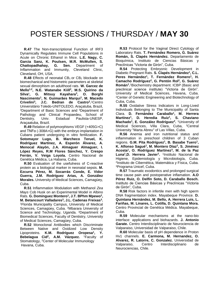**R.47** The Non-transcriptional Function of IRF3 Dynamically Regulates Immune Cell Populations in Acute on Chronic Ethanol in Mice. **L.E. Nagy, C. Garcia Sanz, K. Poulsen, M.R. McMullen, S. Chattopadhahay, G. Sen.** Department of Inflammation and Immunity, Cleveland Clinic, Cleveland, OH, USA.

**R.48** Effects of neonatal  $CB_1$  or  $CB_2$  blockade on biomechanical and histometric parameters at skeletal sexual dimorphism on adulthood rats. **W. Garcez de Mello1,2, N.E. Watanabe Kiill<sup>2</sup> , M.S. Quirino da**  Silva<sup>1</sup>, G. Mitsuy Kayahara<sup>3</sup>, O. Borghi **Nascimento<sup>1</sup> , N. Guimarães Marqui<sup>1</sup> , M. Macedo Crivelini<sup>3</sup>, J.C. Bedran de Castro<sup>2</sup>.<sup>1</sup>Centro** Universitário Toledo-UNITOLEDO, Araçatuba, Brazil, <sup>2</sup>Department of Basic Sciences and <sup>3</sup>Department of Pathology and Clinical Propaedeu, School of Dentistry, Univ. Estadual Paulista-UNESP, Araçaatuba, Brazil.

 **R.49** Relation of polymorphisms VEGF (+405G>C) and TNFα (-308A>G) with the embryo implantation in Cubans patient undergoing in vitro fertilization. **F. Sotomayor Lugo, B. Marcheco Teruel, K. Rodríguez Martínez, A. Esperón Álvarez, A. Menocal Alayón, J.A. Almaguer Almaguer, I. López Reyes, R.M Flores Sánchez, Y. Crespo Ferrán, V. Veiga Loyola.** Centro Nacional de Genética Médica, La Habana, Cuba.

 **R.50** Evaluation of the usefulness of C-reactive protein as a biological marker in neonatal sepsis. **M. Ezcurra Pérez, M. Socarrás Conde, E. Vidor Guerra, J.M. Rodríguez Arias, A. González Morales.** University of Medical Sciences, Camagüey, Cuba.

 **R.51** Inflammation Modulation with Methanol *Zea Mays* Cob Husk on an Experimental Model in Albino Rats. **G. Dominguez Montero<sup>1</sup> , J.T. BPhm Mpewo<sup>2</sup> , M. Betancourt Valladares<sup>3</sup> , J.L. Cadenas Freixas<sup>3</sup> .** <sup>1</sup>Florida Municipality Campus, University of Medical Sciences, Camagüey, Cuba. <sup>2</sup>Mbarara University of Science and Technology, Uganda. <sup>3</sup>Department of Biomedical Sciences, Faculty of Dentistry, University of Medical Sciences, Camagüey, Cuba.

 **R.52** Monoclonal Antibodies which Discriminate Between Native and Oxidized Low Density Lipoproteins. **K.M. Rodríguez Oropesa<sup>1</sup> , Y. Bebelagua Cid<sup>2</sup> , A.M. Vázquez.** <sup>1</sup>Faculty of Stomatology, <sup>2</sup>Center of Molecular Immunology Havana, Cuba.

 **R.53** Protocol for the Vaginal Direct Cytology of Laboratory Rats. **T. Fernández Romero, G. Suárez Román, S. Clapés Hernández.** Departamento de Bioquímica, Instituto de Ciencias Básicas y Preclínicas "Victoria de Girón", Cuba.

 **R.54** Protecting Embryonic Development in Diabetic Pregnant Rats. **S. Clapés Hernández<sup>1</sup> , C.L. Peres Hernández<sup>1</sup> , T. Fernández Romero<sup>1</sup> , H. Camacho Rodríguez<sup>2</sup> , G. Pentón Rol<sup>2</sup> , G. Suárez Román<sup>1</sup> .** <sup>1</sup>Biochemistry department. ICBP (Basic and preclinical science institute) "Victoria de Girón". University of Medical Sciences, Havana, Cuba. <sup>2</sup>Center of Genetic Engineering and Biotechnology of Cuba, Cuba.

 **R.55** Oxidative Stress Indicators in Long-Lived Individuals Belonging to The Municipality of Santa Clara. **D. Fernández Caraballo<sup>1</sup> , M. Herrera Martínez<sup>1</sup> , D. Heredia Ruiz<sup>1</sup> , S. Chaviano Machado<sup>1</sup> , E. González Rodríguez<sup>2</sup> .**  <sup>1</sup>University of Medical Sciences, Villa Clara, Cuba, <sup>2</sup>Central University "Marta Abreu" of Las Villas, Cuba.

 **R.56** Anemia and iron nutritional status and inflammation in preschool children of 3 Cuban regions. G.M. Pita Rodríguez<sup>1</sup>, B. Basabe Tuero<sup>1</sup>, **K. Alfonso Sagué<sup>1</sup> , M. Montero Díaz<sup>2</sup> , S. Jiménez Acosta<sup>1</sup> , O. Rodríguez Martínez<sup>3</sup> , M. de la Paz Luna<sup>1</sup> ,D. Herrera Javier<sup>1</sup> .** 1 Instituto Nacional de Higiene, Epidemiología y Microbiología, Cuba. 2 Instituto de Cibernética, Matemática y Física, Cuba. <sup>3</sup>Programa Unicef, Cuba.

 **R.57** Traumatic exodontics and prolonged surgical time cause pain and postoperative inflamation. **A.O Pérez Ruiz, O. Delfín Soto, D. Caraballo Bosch.** Instituto de Ciencias Básicas y Preclínicas "Victoria de Girón", Cuba.

 **R.58** Risk factors in infertile men with high sperm DNA fragmentation index. Mayabeque Province. **D. Quintana Hernández, M. Bello, A. Herrera Luis, L. Fariñas, M. Linares, L. Cotilla, D. Quintana Mora.** Centro Provincial de Genética Médica. Mayabeque, Cuba.

 **R.59** Molecular mechanisms at the nano-bio interface: applications and biohazards. **J. Antonio Garate.** Centro Interdisciplinario de Neurociencia de Valparaiso, Universidad de Valparaiso, Chile.

 **R.60** Molecular basis of pH dependence in Proton Hv1 channels. **E. Carmona, M. Hernandez, O. Alvarez, R. Latorre, C. Gonzalez.** Universidad de Valparaiso, Centro Interdisciplinario de Neurociencias, Chile.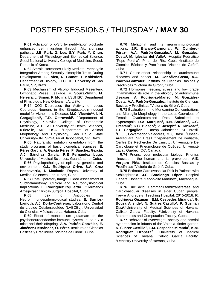**R.61** Activation of c-Src by neddylation blockade enhanced cell migration through Akt signaling pathway. **J.B. Park, G. Lee, S.Y. Park, Y. Chun.** Department of Physiology and Biomedical Science, Seoul National University College of Medicine, Seoul, Republic of Korea.

 **R.62** Steroid Hormones Likely Mediate Phenotypic Integration Among Sexually-dimorphic Traits During Development. **L. Lofeu, R. Brandt, T. Kohlsdorf.** Department of Biology, FFCLRP. University of São Paulo, SP, Brazil.

 **R.63** Mechanism of Alcohol Induced Mesenteric Lymphatic Vessel Leakage. **F. Souza-Smith, M. Herrera, L. Simon, P. Molina.** LSUHSC, Department of Physiology, New Orleans, LA, USA.

 **R.64** CO2 Decreases the Activity of Locus Coeruleus Neurons in the Streptozotocin-Induced model for Alzheimer's Disease. **M.C. Vicente1,2, L.H. Gargaglioni<sup>2</sup> , T.D. Ostrowski<sup>1</sup> .** <sup>1</sup>Department of Physiology, Kirksville College of Osteopathic Medicine, A.T. Still University of Health Sciences, Kirksville, MO, USA. <sup>2</sup>Department of Animal Morphology and Physiology, Sao Paulo State University–UNESP/FCAV at Jaboticabal, SP, Brazil.

 **R.65** Naturalistic nutrition orientation from the study programs of basic biomedical sciences**. E. Pérez García, A. García Pérez, F. Sánchez García, A.J. Sánchez García. R.E Fernández Lugo.**  University of Medical Sciences, Guantánamo, Cuba.

 **R.66** Physiopathology of epilepsy: genetics and environment. **G.L. Rodríguez Orive, S.A. Cruz Hechavarria, I. Machado Reyes.** University of Medical Sciences, Las Tunas, Cuba.

 **R.67** Post-Operatory Image Guided Assessment of Subthalamotomy: Clinical and Neurophysiological Implications. **E. Rodríguez Izquierdo.** "Hermanos Ameijeiras" Clinical-Surgical Hospital, Cuba.

 **R.68** Index of Antibodies in Neuroimmunoepidemiological studies. **E. Barrios-Lamoth, A.J. Dorta-Contreras.** Laboratorio Central de Líquido Cefalorraquídeo (LABCEL), Universidad de Ciencias Médicas de La Habana, Cuba.

 **R.69** Effect of monosodium glutamate on the psychoneuroendocrine-immune system in Balb / c mice and their offspring. **A.A. Padrón-González, E. Jiménez-Hernández, O. Pérez.** Instituto de Ciencias Básicas y Preclínicas "Victoria de Girón", Cuba.

 **R.70** Melatonin and its neuroimmunological actions. **J.R. Blanco-Carmona<sup>1</sup> , W. Quintero-Pérez<sup>1</sup> , A.A. Padrón-González<sup>2</sup> , M. González-Costa<sup>2</sup> , M. Iglesias del Valle<sup>1</sup> .** <sup>1</sup>Hospital Pedriático "Pepe Portilla", Pinar del Río, Cuba. 2Instituto de Ciencias Básicas y Preclínicas "Victoria de Girón", Cuba.

 **R.71** Cause-effect relationship in autoimmune diseases and cancer. **M. González-Costa, A.A. Padrón-González.** Instituto de Ciencias Básicas y Preclínicas "Victoria de Girón", Cuba.

 **R.72** Hormones, feeding, stress and low grade inflammation: its role in the etiology of autoimmune diseases. **A. Rodríguez-Manso, M. González-Costa, A.A. Padrón-González.** Instituto de Ciencias Básicas y Preclínicas "Victoria de Girón", Cuba.

 **R.73** Evaluation in the Monoamine Concentrations and Microglia Morphology in the Locus Coeruleus of Female Ovariectomized Rats Submitted to Hypercapnia. **D.A. Marques<sup>1</sup> , R.N. Soriano<sup>2</sup> , C.C. Crestani<sup>3</sup> ; K.C. Bícego<sup>1</sup> ; V. Joseph<sup>4</sup> , R. Kinkead<sup>4</sup> ,**  L.H. Gargaglioni<sup>1</sup>. <sup>1</sup>Unesp- Jaboticabal, SP, Brasil; 2UFJF, Governador Valadares, MG, Brasil. 3Unesp-Araraquara, SP. Brasil. <sup>4</sup>Département De Pédiatrie, Centre De Recherche De L'institut Universitaire De Cardiologie et Pneumologie de Québec, Université Laval, Québec, QC, Canada.

 **R.74** Prions: your molecular biology. Prionics illnesses in the human and its prevention. **A.E. Vergara Piña.** Instituto de Ciencias Básicas y Preclínicas "Victoria de Girón", Cuba.

 **R.75** Estimate Cardiovascular Risk in Patients with Schizophrenia. **J.C. Sotolongo López**. Hospital General Docente "Leopoldito Martínez", Mayabeque, Cuba.

 **R.76** Uric acid, Gammaglutamiltransferase and Cardiovascular diseases in elder Cuban people. Freyre Andrade's Teaching Hospital. 2015-2018. **R. Rodriguez Guzman<sup>1</sup> , E.M. Cespedes Miranda<sup>1</sup> , G. Bouza Allende<sup>2</sup> , N. Suárez Castillo<sup>1</sup> , P. Guzman Diaz<sup>1</sup> .** <sup>1</sup>University of Medical Sciences of Havana. Calixto Garcia Faculty. <sup>2</sup>University of Havana. Mathematics and Computation Faculty, Cuba.

 **R.77** Behavior of overweight, obesity and arterial hypertension in infants of the Volodia kinder garder. **N. Suárez Castillo<sup>1</sup> , E.M. Cespedes Miranda<sup>1</sup> , K.M. Rodríguez Oropeza<sup>2</sup> .**  <sup>1</sup>University of Medical Sciences of Havana. Calixto Garcia Faculty. <sup>2</sup>Dentistry University of Havana, Cuba.